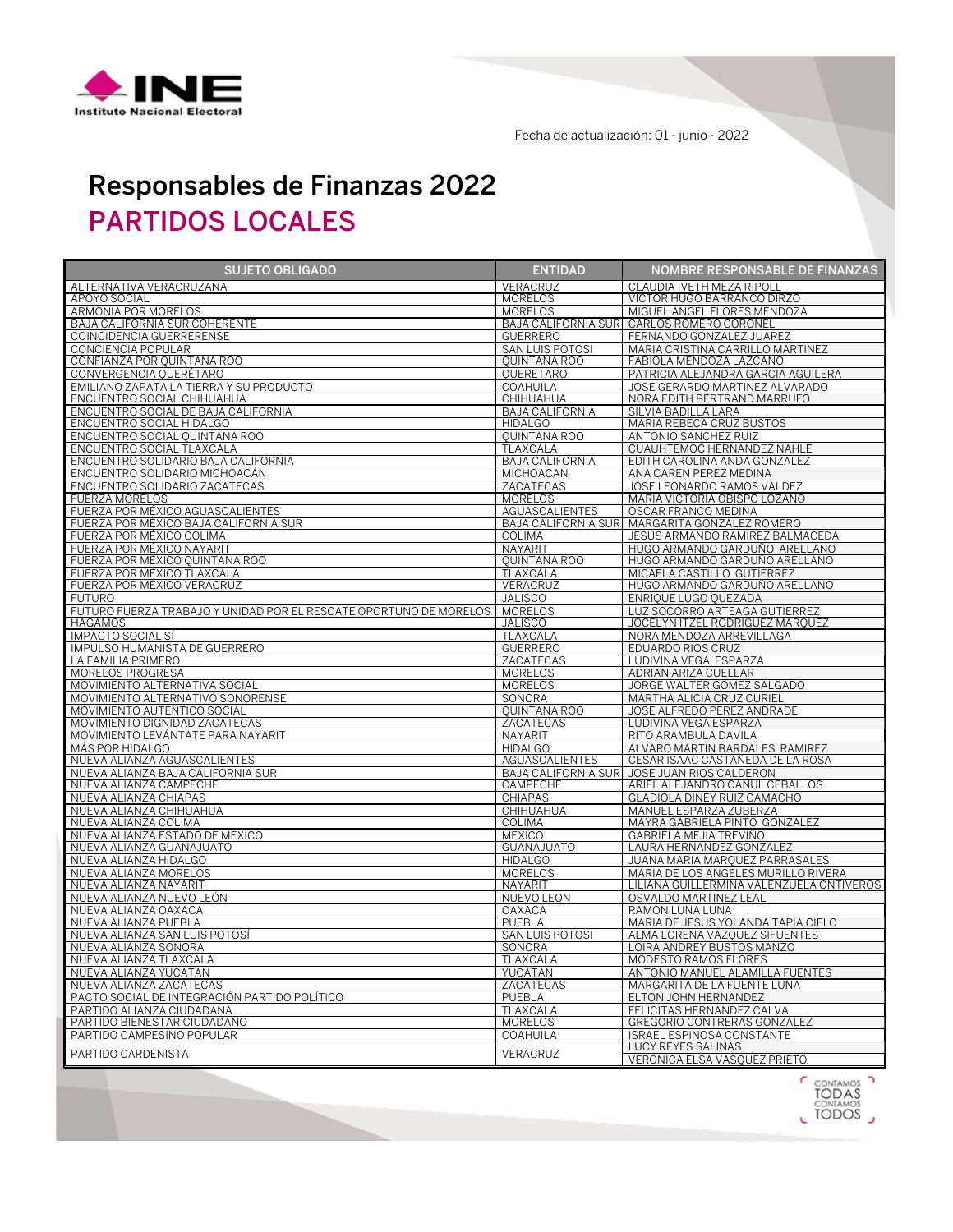

Fecha de actualización: 01 - junio - 2022

## Responsables de Finanzas 2022 PARTIDOS LOCALES

| <b>SUJETO OBLIGADO</b>                                                    | <b>ENTIDAD</b>                      | <b>NOMBRE RESPONSABLE DE FINANZAS</b>                                           |
|---------------------------------------------------------------------------|-------------------------------------|---------------------------------------------------------------------------------|
| ALTERNATIVA VERACRUZANA                                                   | VERACRUZ                            | CLAUDIA IVETH MEZA RIPOLI                                                       |
| APOYO SOCIAL                                                              | <b>MORELOS</b>                      | VICTOR HUGO BARRANCO DIRZO                                                      |
| ARMONIA POR MORELOS                                                       | <b>MORELOS</b>                      | MIGUEL ANGEL FLORES MENDOZA                                                     |
| BAJA CALIFORNIA SUR COHERENTE                                             | <b>BAJA CALIFORNIA SUR</b>          | CARLOS ROMERO CORONEL                                                           |
| COINCIDENCIA GUERRERENSE                                                  | <b>GUERRERO</b>                     | FERNANDO GONZALEZ JUAREZ                                                        |
| CONCIENCIA POPULAR                                                        | <b>SAN LUIS POTOSI</b>              | MARIA CRISTINA CARRILLO MARTINEZ                                                |
| CONFIANZA POR QUINTANA ROO                                                | <b>OUINTANA ROO</b>                 | FABIOLA MENDOZA LAZCANO                                                         |
| CONVERGENCIA QUERÉTARO                                                    | <b>OUERETARO</b>                    | PATRICIA ALEJANDRA GARCIA AGUILERA                                              |
| EMILIANO ZAPATA LA TIERRA Y SU PRODUCTO                                   | COAHUILA                            | JOSE GERARDO MARTINEZ ALVARADO                                                  |
| ENCUENTRO SOCIAL CHIHUAHUA<br>ENCUENTRO SOCIAL DE BAJA CALIFORNIA         | CHIHUAHUA<br><b>BAJA CALIFORNIA</b> | NORA EDITH BERTRAND MARRUFO<br>SILVIA BADILLA LARA                              |
| ENCUENTRO SOCIAL HIDALGO                                                  | <b>HIDALGO</b>                      | MARIA REBECA CRUZ BUSTOS                                                        |
| ENCUENTRO SOCIAL QUINTANA ROO                                             | <b>OUINTANA ROO</b>                 | ANTONIO SANCHEZ RUIZ                                                            |
| ENCUENTRO SOCIAL TLAXCALA                                                 | <b>TLAXCALA</b>                     | CUAUHTEMOC HERNANDEZ NAHLE                                                      |
| ENCUENTRO SOLIDARIO BAJA CALIFORNIA                                       | <b>BAJA CALIFORNIA</b>              | EDITH CAROLINA ANDA GONZALEZ                                                    |
| ENCUENTRO SOLIDARIO MICHOACÁN                                             | <b>MICHOACAN</b>                    | ANA CAREN PEREZ MEDINA                                                          |
| ENCUENTRO SOLIDARIO ZACATECAS                                             | ZACATECAS                           | JOSE LEONARDO RAMOS VALDEZ                                                      |
| <b>FUERZA MORELOS</b>                                                     | <b>MORELOS</b>                      | MARIA VICTORIA OBISPO LOZANO                                                    |
| FUERZA POR MÉXICO AGUASCALIENTES<br>FUERZA POR MÉXICO BAJA CALIFORNIA SUR | AGUASCALIENTES                      | <b>OSCAR FRANCO MEDINA</b>                                                      |
|                                                                           | <b>BAJA CALIFORNIA SUR</b>          | MARGARITA GONZALEZ ROMERO                                                       |
| FUERZA POR MÉXICO COLIMA                                                  | <b>COLIMA</b>                       | JESUS ARMANDO RAMIREZ BALMACEDA                                                 |
| FUERZA POR MÉXICO NAYARIT                                                 | NAYARIT                             | HUGO ARMANDO GARDUÑO ARELLANO                                                   |
| FUERZA POR MÉXICO QUINTANA ROO                                            | <b>OUINTANA ROO</b>                 | HUGO ARMANDO GARDUÑO ARELLANO                                                   |
| FUERZA POR MÉXICO TLAXCALA                                                | TLAXCALA                            | MICAELA CASTILLO GUTIERREZ                                                      |
| FUERZA POR MÉXICO VERACRUZ                                                | VERACRUZ                            | HUGO ARMANDO GARDUÑO ARELLANO                                                   |
| <b>FUTURO</b>                                                             | <b>JALISCO</b>                      | ENRIQUE LUGO QUEZADA                                                            |
| FUTURO FUERZA TRABAJO Y UNIDAD POR EL RESCATE OPORTUNO DE MORELOS         | <b>MORELOS</b>                      | LUZ SOCORRO ARTEAGA GUTIERREZ                                                   |
| <b>HAGAMOS</b>                                                            | <b>JALISCO</b>                      | JOCELYN ITZEL RODRIGUEZ MARQUEZ                                                 |
| IMPACTO SOCIAL SÍ                                                         | TLAXCALA                            | NORA MENDOZA ARREVILLAGA                                                        |
| IMPULSO HUMANISTA DE GUERRERO<br>LA FAMILIA PRIMERO                       | <b>GUERRERO</b><br>ZACATECAS        | <b>EDUARDO RIOS CRUZ</b><br>LUDIVINA VEGA ESPARZA                               |
| MORELOS PROGRESA                                                          | <b>MORELOS</b>                      | ADRIAN ARIZA CUELLAR                                                            |
| MOVIMIENTO ALTERNATIVA SOCIAL                                             | <b>MORELOS</b>                      | JORGE WALTER GOMEZ SALGADO                                                      |
| MOVIMIENTO ALTERNATIVO SONORENSE                                          | SONORA                              | MARTHA ALICIA CRUZ CURIEL                                                       |
| MOVIMIENTO AUTENTICO SOCIAL                                               | <b>OUINTANA ROO</b>                 | JOSE ALFREDO PEREZ ANDRADE                                                      |
| MOVIMIENTO DIGNIDAD ZACATECAS                                             | ZACATECAS                           | LUDIVINA VEGA ESPARZA                                                           |
| MOVIMIENTO LEVÁNTATE PARA NAYARIT                                         | NAYARIT                             | RITO ARAMBULA DAVILA                                                            |
| MÁS POR HIDALGO                                                           | <b>HIDALGO</b>                      | ALVARO MARTIN BARDALES RAMIREZ                                                  |
| NUEVA ALIANZA AGUASCALIENTES                                              | AGUASCALIENTES                      | CESAR ISAAC CASTAÑEDA DE LA ROSA                                                |
| NUEVA ALIANZA BAJA CALIFORNIA SUR                                         | <b>BAJA CALIFORNIA SUR</b>          | JOSE JUAN RIOS CALDERON                                                         |
| NUEVA ALIANZA CAMPECHE                                                    | CAMPECHE                            | ARIEL ALEJANDRO CANUL CEBALLOS                                                  |
| NUEVA ALIANZA CHIAPAS                                                     | <b>CHIAPAS</b>                      | GLADIOLA DINEY RUIZ CAMACHO                                                     |
| NUEVA ALIANZA CHIHUAHUA                                                   | CHIHUAHUA                           | MANUEL ESPARZA ZUBERZA                                                          |
| NUEVA ALIANZA COLIMA                                                      | <b>COLIMA</b>                       | MAYRA GABRIELA PINTO GONZALEZ                                                   |
| NUEVA ALIANZA ESTADO DE MÉXICO                                            | <b>MEXICO</b>                       | GABRIELA MEJIA TREVIÑO                                                          |
| NUEVA ALIANZA GUANAJUATO                                                  | <b>GUANAJUATO</b>                   | LAURA HERNANDEZ GONZALEZ                                                        |
| NUEVA ALIANZA HIDALGO                                                     | <b>HIDALGO</b>                      | JUANA MARIA MARQUEZ PARRASALES                                                  |
| NUEVA ALIANZA MORELOS<br>NUEVA ALIANZA NAYARIT                            | <b>MORELOS</b><br>NAYARIT           | MARIA DE LOS ANGELES MURILLO RIVERA<br>LILIANA GUILLERMINA VALENZUELA ONTIVEROS |
| NUEVA ALIANZA NUEVO LEÓN                                                  | NUEVO LEON                          | OSVALDO MARTINEZ LEAL                                                           |
| NUEVA ALIANZA OAXACA                                                      | <b>OAXACA</b>                       | RAMON LUNA LUNA                                                                 |
| NUEVA ALIANZA PUEBLA                                                      | PUEBLA                              | MARIA DE JESUS YOLANDA TAPIA CIELO                                              |
| NUEVA ALIANZA SAN LUIS POTOSÍ                                             | SAN LUIS POTOSI                     | ALMA LORENA VAZQUEZ SIFUENTES                                                   |
| NUEVA ALIANZA SONORA                                                      | SONORA                              | LOIRA ANDREY BUSTOS MANZO                                                       |
| NUEVA ALIANZA TLAXCALA                                                    | <b>TLAXCALA</b>                     | MODESTO RAMOS FLORES                                                            |
| NUEVA ALIANZA YUCATAN                                                     | YUCATAN                             | ANTONIO MANUEL ALAMILLA FUENTES                                                 |
| NUEVA ALIANZA ZACATECAS                                                   | ZACATECAS                           | MARGARITA DE LA FUENTE LUNA                                                     |
| PACTO SOCIAL DE INTEGRACIÓN PARTIDO POLÍTICO                              | PUEBLA                              | ELTON JOHN HERNANDEZ                                                            |
| PARTIDO ALIANZA CIUDADANA                                                 | <b>TLAXCALA</b>                     | FELICITAS HERNANDEZ CALVA                                                       |
| PARTIDO BIENESTAR CIUDADANO                                               | <b>MORELOS</b>                      | <b>GREGORIO CONTRERAS GONZALEZ</b>                                              |
| PARTIDO CAMPESINO POPULAR                                                 | COAHUILA                            | ISRAEL ESPINOSA CONSTANTE                                                       |
| PARTIDO CARDENISTA                                                        | VERACRUZ                            | LUCY REYES SALINAS                                                              |
|                                                                           |                                     | VERONICA ELSA VASQUEZ PRIETO                                                    |

CONTAMOS<br>TODAS<br>CONTAMOS<br>CTODOS